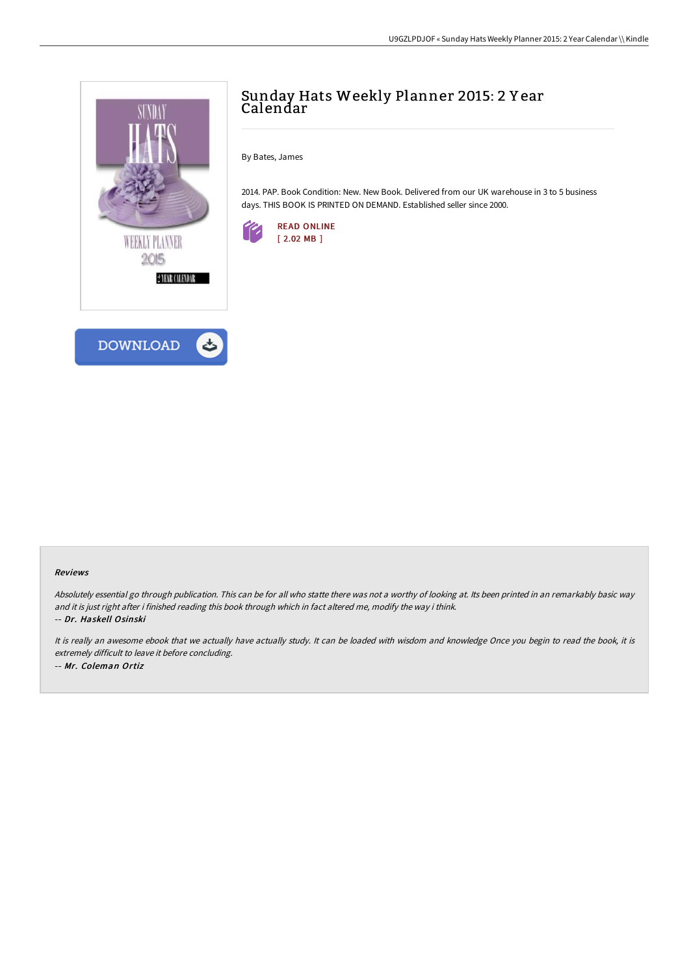

# **DOWNLOAD**

# Sunday Hats Weekly Planner 2015: 2 Y ear Calendar

By Bates, James

2014. PAP. Book Condition: New. New Book. Delivered from our UK warehouse in 3 to 5 business days. THIS BOOK IS PRINTED ON DEMAND. Established seller since 2000.



#### Reviews

Absolutely essential go through publication. This can be for all who statte there was not <sup>a</sup> worthy of looking at. Its been printed in an remarkably basic way and it is just right after i finished reading this book through which in fact altered me, modify the way i think. -- Dr. Haskell Osinski

It is really an awesome ebook that we actually have actually study. It can be loaded with wisdom and knowledge Once you begin to read the book, it is extremely difficult to leave it before concluding. -- Mr. Coleman Ortiz